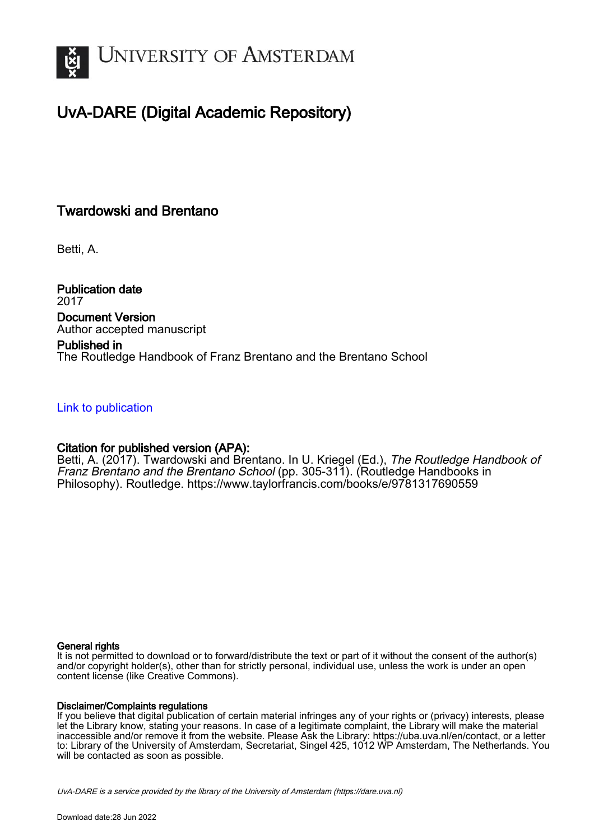

# UvA-DARE (Digital Academic Repository)

# Twardowski and Brentano

Betti, A.

Publication date 2017 Document Version Author accepted manuscript

# Published in

The Routledge Handbook of Franz Brentano and the Brentano School

### [Link to publication](https://dare.uva.nl/personal/pure/en/publications/twardowski-and-brentano(28e6674a-42f6-4338-b7a9-079e0df23f33).html)

### Citation for published version (APA):

Betti, A. (2017). Twardowski and Brentano. In U. Kriegel (Ed.), The Routledge Handbook of Franz Brentano and the Brentano School (pp. 305-311). (Routledge Handbooks in Philosophy). Routledge. <https://www.taylorfrancis.com/books/e/9781317690559>

#### General rights

It is not permitted to download or to forward/distribute the text or part of it without the consent of the author(s) and/or copyright holder(s), other than for strictly personal, individual use, unless the work is under an open content license (like Creative Commons).

#### Disclaimer/Complaints regulations

If you believe that digital publication of certain material infringes any of your rights or (privacy) interests, please let the Library know, stating your reasons. In case of a legitimate complaint, the Library will make the material inaccessible and/or remove it from the website. Please Ask the Library: https://uba.uva.nl/en/contact, or a letter to: Library of the University of Amsterdam, Secretariat, Singel 425, 1012 WP Amsterdam, The Netherlands. You will be contacted as soon as possible.

UvA-DARE is a service provided by the library of the University of Amsterdam (http*s*://dare.uva.nl)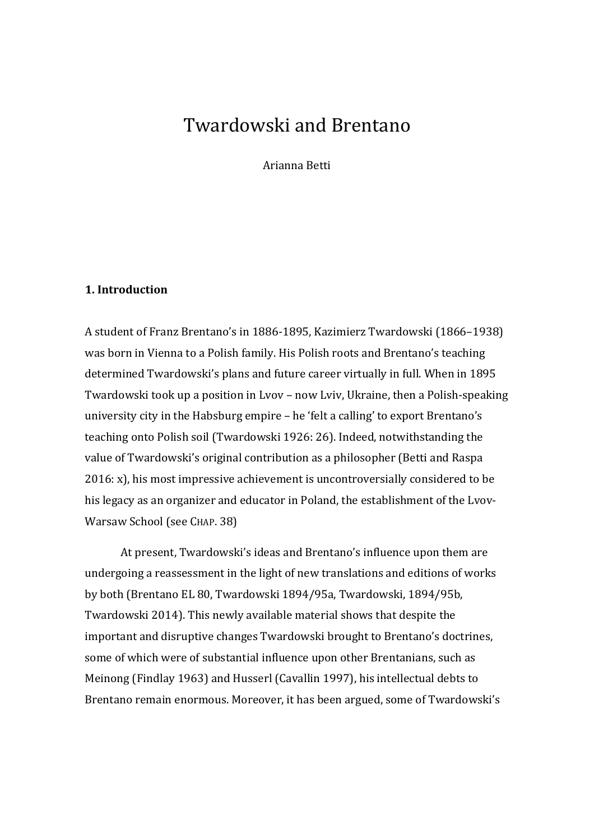# Twardowski and Brentano

Arianna Betti

### **1. Introduction**

A student of Franz Brentano's in 1886-1895, Kazimierz Twardowski (1866–1938) was born in Vienna to a Polish family. His Polish roots and Brentano's teaching determined Twardowski's plans and future career virtually in full. When in 1895 Twardowski took up a position in Lvov – now Lviv, Ukraine, then a Polish-speaking university city in the Habsburg empire – he 'felt a calling' to export Brentano's teaching onto Polish soil (Twardowski 1926: 26). Indeed, notwithstanding the value of Twardowski's original contribution as a philosopher (Betti and Raspa 2016: x), his most impressive achievement is uncontroversially considered to be his legacy as an organizer and educator in Poland, the establishment of the Lvov-Warsaw School (see CHAP. 38)

At present, Twardowski's ideas and Brentano's influence upon them are undergoing a reassessment in the light of new translations and editions of works by both (Brentano EL 80, Twardowski 1894/95a, Twardowski, 1894/95b, Twardowski 2014). This newly available material shows that despite the important and disruptive changes Twardowski brought to Brentano's doctrines, some of which were of substantial influence upon other Brentanians, such as Meinong (Findlay 1963) and Husserl (Cavallin 1997), his intellectual debts to Brentano remain enormous. Moreover, it has been argued, some of Twardowski's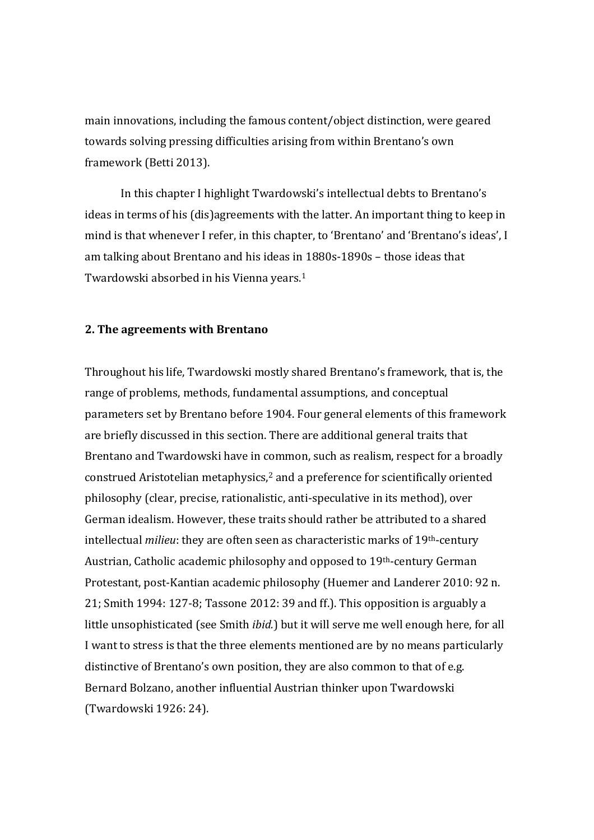main innovations, including the famous content/object distinction, were geared towards solving pressing difficulties arising from within Brentano's own framework (Betti 2013).

In this chapter I highlight Twardowski's intellectual debts to Brentano's ideas in terms of his (dis)agreements with the latter. An important thing to keep in mind is that whenever I refer, in this chapter, to 'Brentano' and 'Brentano's ideas', I am talking about Brentano and his ideas i[n 1](#page-13-0)880s-1890s – those ideas that Twardowski absorbed in his Vienna years. 1

### **2. The agreements with Brentano**

Throughout his life, Twardowski mostly shared Brentano's framework, that is, the range of problems, methods, fundamental assumptions, and conceptual parameters set by Brentano before 1904. Four general elements of this framework are briefly discussed in this section. There are additional general traits that Brentano and Twardowski have in common, such as realism, respect for a broadly construed Aristotelian metaphysics,<sup>[2](#page-13-1)</sup> and a preference for scientifically oriented philosophy (clear, precise, rationalistic, anti-speculative in its method), over German idealism. However, these traits should rather be attributed to a shared intellectual *milieu*: they are often seen as characteristic marks of 19th-century Austrian, Catholic academic philosophy and opposed to 19th-century German Protestant, post-Kantian academic philosophy (Huemer and Landerer 2010: 92 n. 21; Smith 1994: 127-8; Tassone 2012: 39 and ff.). This opposition is arguably a little unsophisticated (see Smith *ibid.*) but it will serve me well enough here, for all I want to stress is that the three elements mentioned are by no means particularly distinctive of Brentano's own position, they are also common to that of e.g. Bernard Bolzano, another influential Austrian thinker upon Twardowski (Twardowski 1926: 24).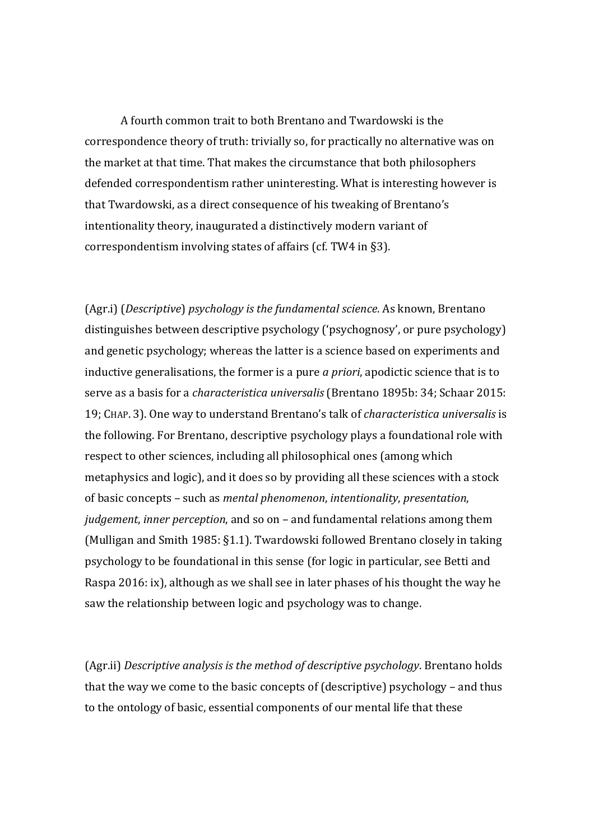A fourth common trait to both Brentano and Twardowski is the correspondence theory of truth: trivially so, for practically no alternative was on the market at that time. That makes the circumstance that both philosophers defended correspondentism rather uninteresting. What is interesting however is that Twardowski, as a direct consequence of his tweaking of Brentano's intentionality theory, inaugurated a distinctively modern variant of correspondentism involving states of affairs (cf. TW4 in §3).

(Agr.i) (*Descriptive*) *psychology is the fundamental science*. As known, Brentano distinguishes between descriptive psychology ('psychognosy', or pure psychology) and genetic psychology; whereas the latter is a science based on experiments and inductive generalisations, the former is a pure *a priori*, apodictic science that is to serve as a basis for a *characteristica universalis* (Brentano 1895b: 34; Schaar 2015: 19; CHAP. 3). One way to understand Brentano's talk of *characteristica universalis* is the following. For Brentano, descriptive psychology plays a foundational role with respect to other sciences, including all philosophical ones (among which metaphysics and logic), and it does so by providing all these sciences with a stock of basic concepts – such as *mental phenomenon*, *intentionality*, *presentation*, *judgement*, *inner perception*, and so on – and fundamental relations among them (Mulligan and Smith 1985: §1.1). Twardowski followed Brentano closely in taking psychology to be foundational in this sense (for logic in particular, see Betti and Raspa 2016: ix), although as we shall see in later phases of his thought the way he saw the relationship between logic and psychology was to change.

(Agr.ii) *Descriptive analysis is the method of descriptive psychology*. Brentano holds that the way we come to the basic concepts of (descriptive) psychology – and thus to the ontology of basic, essential components of our mental life that these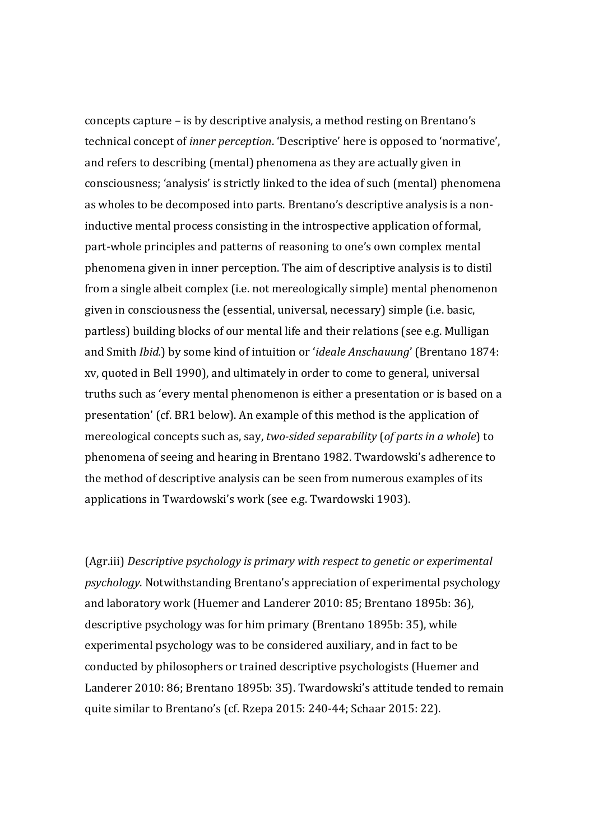concepts capture – is by descriptive analysis, a method resting on Brentano's technical concept of *inner perception*. 'Descriptive' here is opposed to 'normative', and refers to describing (mental) phenomena as they are actually given in consciousness; 'analysis' is strictly linked to the idea of such (mental) phenomena as wholes to be decomposed into parts. Brentano's descriptive analysis is a noninductive mental process consisting in the introspective application of formal, part-whole principles and patterns of reasoning to one's own complex mental phenomena given in inner perception. The aim of descriptive analysis is to distil from a single albeit complex (i.e. not mereologically simple) mental phenomenon given in consciousness the (essential, universal, necessary) simple (i.e. basic, partless) building blocks of our mental life and their relations (see e.g. Mulligan and Smith *Ibid.*) by some kind of intuition or '*ideale Anschauung*' (Brentano 1874: xv, quoted in Bell 1990), and ultimately in order to come to general, universal truths such as 'every mental phenomenon is either a presentation or is based on a presentation' (cf. BR1 below). An example of this method is the application of mereological concepts such as, say, *two-sided separability* (*of parts in a whole*) to phenomena of seeing and hearing in Brentano 1982. Twardowski's adherence to the method of descriptive analysis can be seen from numerous examples of its applications in Twardowski's work (see e.g. Twardowski 1903).

(Agr.iii) *Descriptive psychology is primary with respect to genetic or experimental psychology*. Notwithstanding Brentano's appreciation of experimental psychology and laboratory work (Huemer and Landerer 2010: 85; Brentano 1895b: 36), descriptive psychology was for him primary (Brentano 1895b: 35), while experimental psychology was to be considered auxiliary, and in fact to be conducted by philosophers or trained descriptive psychologists (Huemer and Landerer 2010: 86; Brentano 1895b: 35). Twardowski's attitude tended to remain quite similar to Brentano's (cf. Rzepa 2015: 240-44; Schaar 2015: 22).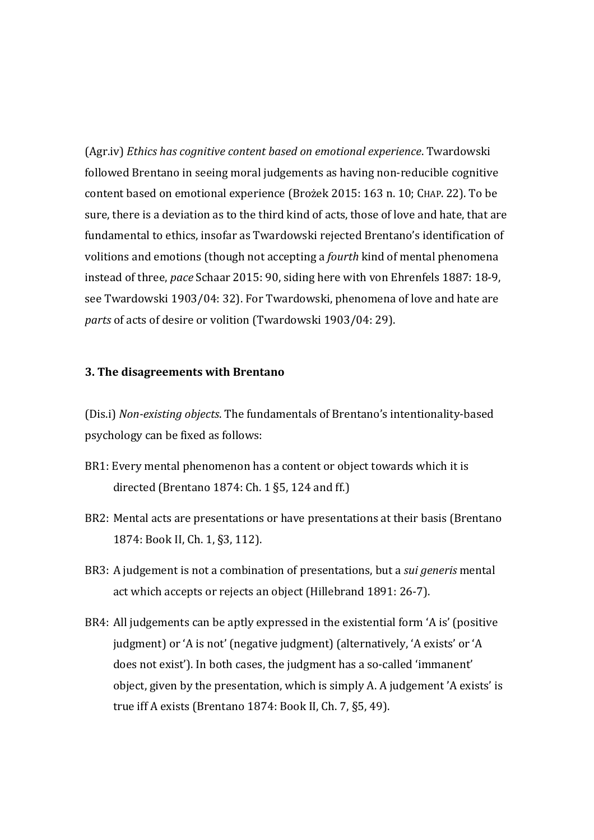(Agr.iv) *Ethics has cognitive content based on emotional experience*. Twardowski followed Brentano in seeing moral judgements as having non-reducible cognitive content based on emotional experience (Brożek 2015: 163 n. 10; CHAP. 22). To be sure, there is a deviation as to the third kind of acts, those of love and hate, that are fundamental to ethics, insofar as Twardowski rejected Brentano's identification of volitions and emotions (though not accepting a *fourth* kind of mental phenomena instead of three, *pace* Schaar 2015: 90, siding here with von Ehrenfels 1887: 18-9, see Twardowski 1903/04: 32). For Twardowski, phenomena of love and hate are *parts* of acts of desire or volition (Twardowski 1903/04: 29).

### **3. The disagreements with Brentano**

(Dis.i) *Non-existing objects*. The fundamentals of Brentano's intentionality-based psychology can be fixed as follows:

- BR1: Every mental phenomenon has a content or object towards which it is directed (Brentano 1874: Ch. 1 §5, 124 and ff.)
- BR2: Mental acts are presentations or have presentations at their basis (Brentano 1874: Book II, Ch. 1, §3, 112).
- BR3: A judgement is not a combination of presentations, but a *sui generis* mental act which accepts or rejects an object (Hillebrand 1891: 26-7).
- BR4: All judgements can be aptly expressed in the existential form 'A is' (positive judgment) or 'A is not' (negative judgment) (alternatively, 'A exists' or 'A does not exist'). In both cases, the judgment has a so-called 'immanent' object, given by the presentation, which is simply A. A judgement 'A exists' is true iff A exists (Brentano 1874: Book II, Ch. 7, §5, 49).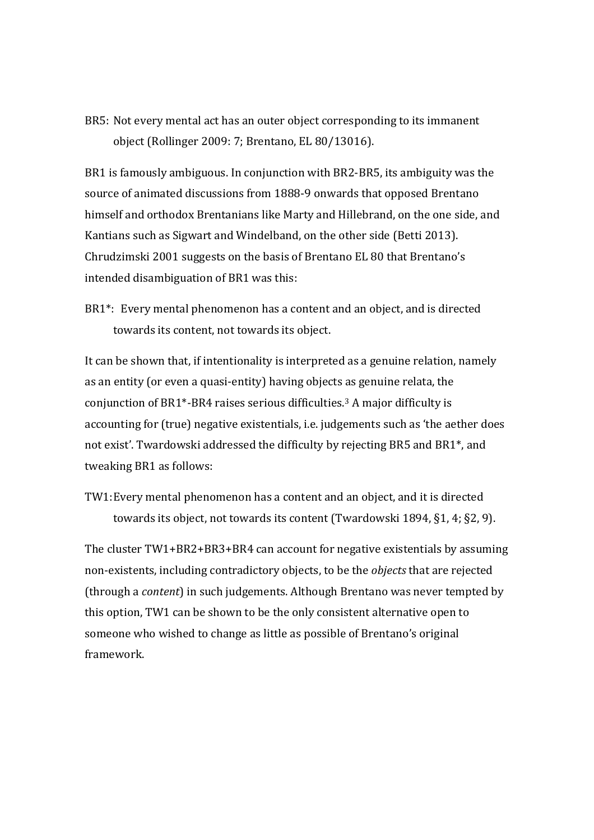BR5: Not every mental act has an outer object corresponding to its immanent object (Rollinger 2009: 7; Brentano, EL 80/13016).

BR1 is famously ambiguous. In conjunction with BR2-BR5, its ambiguity was the source of animated discussions from 1888-9 onwards that opposed Brentano himself and orthodox Brentanians like Marty and Hillebrand, on the one side, and Kantians such as Sigwart and Windelband, on the other side (Betti 2013). Chrudzimski 2001 suggests on the basis of Brentano EL 80 that Brentano's intended disambiguation of BR1 was this:

BR1\*: Every mental phenomenon has a content and an object, and is directed towards its content, not towards its object.

It can be shown that, if intentionality is interpreted as a genuine relation, namely as an entity (or even a quasi-entity) having objects as genuine relata, the conjunction of BR1\*-BR4 raises serious difficulties.[3](#page-13-2) A major difficulty is accounting for (true) negative existentials, i.e. judgements such as 'the aether does not exist'. Twardowski addressed the difficulty by rejecting BR5 and BR1\*, and tweaking BR1 as follows:

TW1:Every mental phenomenon has a content and an object, and it is directed towards its object, not towards its content (Twardowski 1894, §1, 4; §2, 9).

The cluster TW1+BR2+BR3+BR4 can account for negative existentials by assuming non-existents, including contradictory objects, to be the *objects* that are rejected (through a *content*) in such judgements. Although Brentano was never tempted by this option, TW1 can be shown to be the only consistent alternative open to someone who wished to change as little as possible of Brentano's original framework.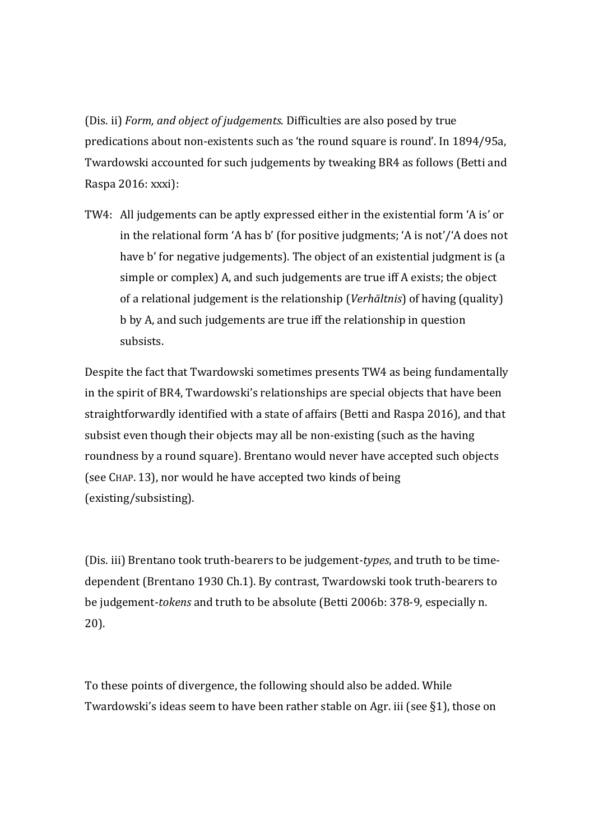(Dis. ii) *Form, and object of judgements*. Difficulties are also posed by true predications about non-existents such as 'the round square is round'. In 1894/95a, Twardowski accounted for such judgements by tweaking BR4 as follows (Betti and Raspa 2016: xxxi):

TW4: All judgements can be aptly expressed either in the existential form 'A is' or in the relational form 'A has b' (for positive judgments; 'A is not'/'A does not have b' for negative judgements). The object of an existential judgment is (a simple or complex) A, and such judgements are true iff A exists; the object of a relational judgement is the relationship (*Verhältnis*) of having (quality) b by A, and such judgements are true iff the relationship in question subsists.

Despite the fact that Twardowski sometimes presents TW4 as being fundamentally in the spirit of BR4, Twardowski's relationships are special objects that have been straightforwardly identified with a state of affairs (Betti and Raspa 2016), and that subsist even though their objects may all be non-existing (such as the having roundness by a round square). Brentano would never have accepted such objects (see CHAP. 13), nor would he have accepted two kinds of being (existing/subsisting).

(Dis. iii) Brentano took truth-bearers to be judgement-*types*, and truth to be timedependent (Brentano 1930 Ch.1). By contrast, Twardowski took truth-bearers to be judgement-*tokens* and truth to be absolute (Betti 2006b: 378-9, especially n. 20).

To these points of divergence, the following should also be added. While Twardowski's ideas seem to have been rather stable on Agr. iii (see §1), those on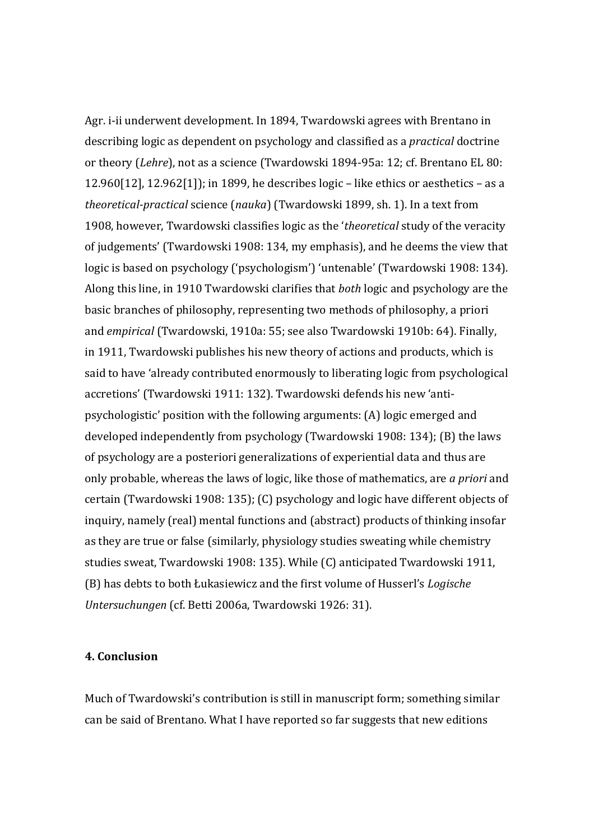Agr. i-ii underwent development. In 1894, Twardowski agrees with Brentano in describing logic as dependent on psychology and classified as a *practical* doctrine or theory (*Lehre*), not as a science (Twardowski 1894-95a: 12; cf. Brentano EL 80: 12.960[12], 12.962[1]); in 1899, he describes logic – like ethics or aesthetics – as a *theoretical-practical* science (*nauka*) (Twardowski 1899, sh. 1). In a text from 1908, however, Twardowski classifies logic as the '*theoretical* study of the veracity of judgements' (Twardowski 1908: 134, my emphasis), and he deems the view that logic is based on psychology ('psychologism') 'untenable' (Twardowski 1908: 134). Along this line, in 1910 Twardowski clarifies that *both* logic and psychology are the basic branches of philosophy, representing two methods of philosophy, a priori and *empirical* (Twardowski, 1910a: 55; see also Twardowski 1910b: 64). Finally, in 1911, Twardowski publishes his new theory of actions and products, which is said to have 'already contributed enormously to liberating logic from psychological accretions' (Twardowski 1911: 132). Twardowski defends his new 'antipsychologistic' position with the following arguments: (A) logic emerged and developed independently from psychology (Twardowski 1908: 134); (B) the laws of psychology are a posteriori generalizations of experiential data and thus are only probable, whereas the laws of logic, like those of mathematics, are *a priori* and certain (Twardowski 1908: 135); (C) psychology and logic have different objects of inquiry, namely (real) mental functions and (abstract) products of thinking insofar as they are true or false (similarly, physiology studies sweating while chemistry studies sweat, Twardowski 1908: 135). While (C) anticipated Twardowski 1911, (B) has debts to both Łukasiewicz and the first volume of Husserl's *Logische Untersuchungen* (cf. Betti 2006a, Twardowski 1926: 31).

### **4. Conclusion**

Much of Twardowski's contribution is still in manuscript form; something similar can be said of Brentano. What I have reported so far suggests that new editions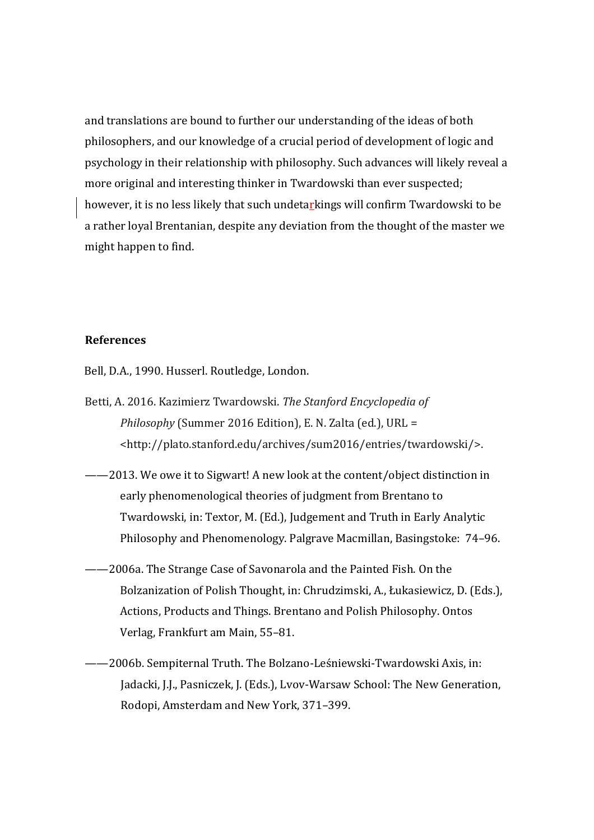and translations are bound to further our understanding of the ideas of both philosophers, and our knowledge of a crucial period of development of logic and psychology in their relationship with philosophy. Such advances will likely reveal a more original and interesting thinker in Twardowski than ever suspected; however, it is no less likely that such undetarkings will confirm Twardowski to be a rather loyal Brentanian, despite any deviation from the thought of the master we might happen to find.

# **References**

Bell, D.A., 1990. Husserl. Routledge, London.

- Betti, A. 2016. Kazimierz Twardowski. *The Stanford Encyclopedia of Philosophy* (Summer 2016 Edition), E. N. Zalta (ed.), URL = <http://plato.stanford.edu/archives/sum2016/entries/twardowski/>.
- ——2013. We owe it to Sigwart! A new look at the content/object distinction in early phenomenological theories of judgment from Brentano to Twardowski, in: Textor, M. (Ed.), Judgement and Truth in Early Analytic Philosophy and Phenomenology. Palgrave Macmillan, Basingstoke: 74–96.
- ——2006a. The Strange Case of Savonarola and the Painted Fish. On the Bolzanization of Polish Thought, in: Chrudzimski, A., Łukasiewicz, D. (Eds.), Actions, Products and Things. Brentano and Polish Philosophy. Ontos Verlag, Frankfurt am Main, 55–81.
- ——2006b. Sempiternal Truth. The Bolzano-Leśniewski-Twardowski Axis, in: Jadacki, J.J., Pasniczek, J. (Eds.), Lvov-Warsaw School: The New Generation, Rodopi, Amsterdam and New York, 371–399.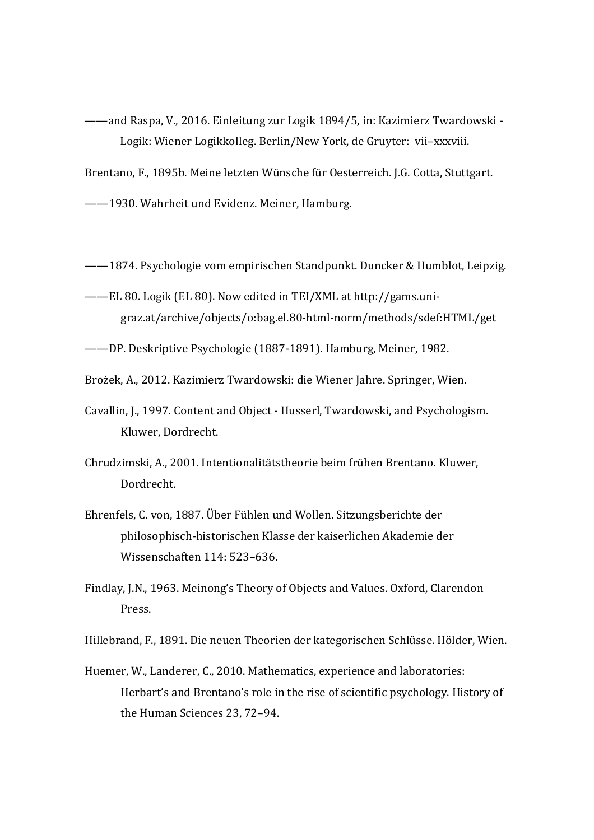——and Raspa, V., 2016. Einleitung zur Logik 1894/5, in: Kazimierz Twardowski - Logik: Wiener Logikkolleg. Berlin/New York, de Gruyter: vii–xxxviii.

Brentano, F., 1895b. Meine letzten Wünsche für Oesterreich. J.G. Cotta, Stuttgart.

——1930. Wahrheit und Evidenz. Meiner, Hamburg.

- ——1874. Psychologie vom empirischen Standpunkt. Duncker & Humblot, Leipzig.
- ——EL 80. Logik (EL 80). Now edited in TEI/XML at http://gams.unigraz.at/archive/objects/o:bag.el.80-html-norm/methods/sdef:HTML/get
- ——DP. Deskriptive Psychologie (1887-1891). Hamburg, Meiner, 1982.
- Brożek, A., 2012. Kazimierz Twardowski: die Wiener Jahre. Springer, Wien.
- Cavallin, J., 1997. Content and Object Husserl, Twardowski, and Psychologism. Kluwer, Dordrecht.
- Chrudzimski, A., 2001. Intentionalitätstheorie beim frühen Brentano. Kluwer, Dordrecht.
- Ehrenfels, C. von, 1887. Über Fühlen und Wollen. Sitzungsberichte der philosophisch-historischen Klasse der kaiserlichen Akademie der Wissenschaften 114: 523–636.
- Findlay, J.N., 1963. Meinong's Theory of Objects and Values. Oxford, Clarendon Press.
- Hillebrand, F., 1891. Die neuen Theorien der kategorischen Schlüsse. Hölder, Wien.
- Huemer, W., Landerer, C., 2010. Mathematics, experience and laboratories: Herbart's and Brentano's role in the rise of scientific psychology. History of the Human Sciences 23, 72–94.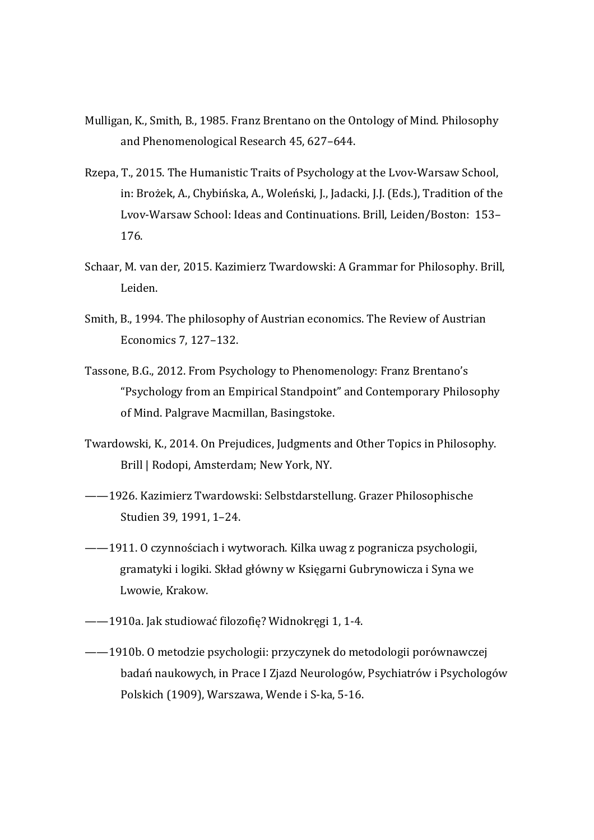- Mulligan, K., Smith, B., 1985. Franz Brentano on the Ontology of Mind. Philosophy and Phenomenological Research 45, 627–644.
- Rzepa, T., 2015. The Humanistic Traits of Psychology at the Lvov-Warsaw School, in: Brożek, A., Chybińska, A., Woleński, J., Jadacki, J.J. (Eds.), Tradition of the Lvov-Warsaw School: Ideas and Continuations. Brill, Leiden/Boston: 153– 176.
- Schaar, M. van der, 2015. Kazimierz Twardowski: A Grammar for Philosophy. Brill, Leiden.
- Smith, B., 1994. The philosophy of Austrian economics. The Review of Austrian Economics 7, 127–132.
- Tassone, B.G., 2012. From Psychology to Phenomenology: Franz Brentano's "Psychology from an Empirical Standpoint" and Contemporary Philosophy of Mind. Palgrave Macmillan, Basingstoke.
- Twardowski, K., 2014. On Prejudices, Judgments and Other Topics in Philosophy. Brill | Rodopi, Amsterdam; New York, NY.
- ——1926. Kazimierz Twardowski: Selbstdarstellung. Grazer Philosophische Studien 39, 1991, 1–24.
- ——1911. O czynnościach i wytworach. Kilka uwag z pogranicza psychologii, gramatyki i logiki. Skład główny w Księgarni Gubrynowicza i Syna we Lwowie, Krakow.
- ——1910a. Jak studiować filozofię? Widnokręgi 1, 1-4.
- ——1910b. O metodzie psychologii: przyczynek do metodologii porównawczej badań naukowych, in Prace I Zjazd Neurologów, Psychiatrów i Psychologów Polskich (1909), Warszawa, Wende i S-ka, 5-16.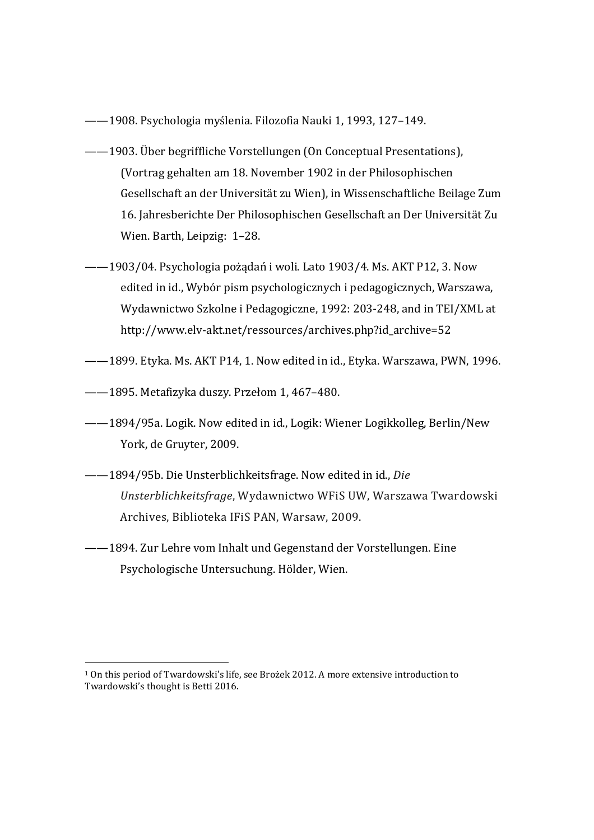- ——1908. Psychologia myślenia. Filozofia Nauki 1, 1993, 127–149.
- ——1903. Über begriffliche Vorstellungen (On Conceptual Presentations), (Vortrag gehalten am 18. November 1902 in der Philosophischen Gesellschaft an der Universität zu Wien), in Wissenschaftliche Beilage Zum 16. Jahresberichte Der Philosophischen Gesellschaft an Der Universität Zu Wien. Barth, Leipzig: 1–28.
- ——1903/04. Psychologia pożądań i woli. Lato 1903/4. Ms. AKT P12, 3. Now edited in id., Wybór pism psychologicznych i pedagogicznych, Warszawa, Wydawnictwo Szkolne i Pedagogiczne, 1992: 203-248, and in TEI/XML at http://www.elv-akt.net/ressources/archives.php?id\_archive=52
- ——1899. Etyka. Ms. AKT P14, 1. Now edited in id., Etyka. Warszawa, PWN, 1996.
- ——1895. Metafizyka duszy. Przełom 1, 467–480.

 $\overline{a}$ 

- ——1894/95a. Logik. Now edited in id., Logik: Wiener Logikkolleg, Berlin/New York, de Gruyter, 2009.
- ——1894/95b. Die Unsterblichkeitsfrage. Now edited in id., *Die Unsterblichkeitsfrage*, Wydawnictwo WFiS UW, Warszawa Twardowski Archives, Biblioteka IFiS PAN, Warsaw, 2009.
- ——1894. Zur Lehre vom Inhalt und Gegenstand der Vorstellungen. Eine Psychologische Untersuchung. Hölder, Wien.

<sup>1</sup> On this period of Twardowski's life, see Brożek 2012. A more extensive introduction to Twardowski's thought is Betti 2016.